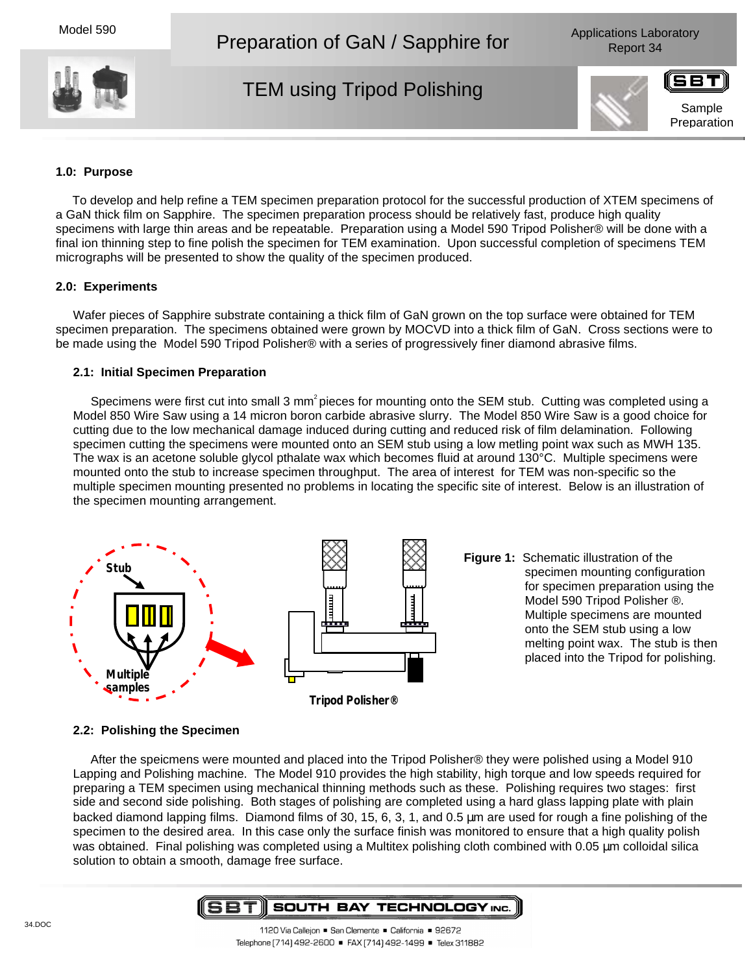Model 590

Preparation of GaN / Sapphire for



TEM using Tripod Polishing







## **1.0: Purpose**

To develop and help refine a TEM specimen preparation protocol for the successful production of XTEM specimens of a GaN thick film on Sapphire. The specimen preparation process should be relatively fast, produce high quality specimens with large thin areas and be repeatable. Preparation using a Model 590 Tripod Polisher® will be done with a final ion thinning step to fine polish the specimen for TEM examination. Upon successful completion of specimens TEM micrographs will be presented to show the quality of the specimen produced.

## **2.0: Experiments**

Wafer pieces of Sapphire substrate containing a thick film of GaN grown on the top surface were obtained for TEM specimen preparation. The specimens obtained were grown by MOCVD into a thick film of GaN. Cross sections were to be made using the Model 590 Tripod Polisher® with a series of progressively finer diamond abrasive films.

#### **2.1: Initial Specimen Preparation**

Specimens were first cut into small 3 mm<sup>2</sup> pieces for mounting onto the SEM stub. Cutting was completed using a Model 850 Wire Saw using a 14 micron boron carbide abrasive slurry. The Model 850 Wire Saw is a good choice for cutting due to the low mechanical damage induced during cutting and reduced risk of film delamination. Following specimen cutting the specimens were mounted onto an SEM stub using a low metling point wax such as MWH 135. The wax is an acetone soluble glycol pthalate wax which becomes fluid at around 130°C. Multiple specimens were mounted onto the stub to increase specimen throughput. The area of interest for TEM was non-specific so the multiple specimen mounting presented no problems in locating the specific site of interest. Below is an illustration of the specimen mounting arrangement.



**Figure 1:** Schematic illustration of the specimen mounting configuration for specimen preparation using the Model 590 Tripod Polisher ®. Multiple specimens are mounted onto the SEM stub using a low melting point wax. The stub is then placed into the Tripod for polishing.

# **2.2: Polishing the Specimen**

After the speicmens were mounted and placed into the Tripod Polisher® they were polished using a Model 910 Lapping and Polishing machine. The Model 910 provides the high stability, high torque and low speeds required for preparing a TEM specimen using mechanical thinning methods such as these. Polishing requires two stages: first side and second side polishing. Both stages of polishing are completed using a hard glass lapping plate with plain backed diamond lapping films. Diamond films of 30, 15, 6, 3, 1, and 0.5 µm are used for rough a fine polishing of the specimen to the desired area. In this case only the surface finish was monitored to ensure that a high quality polish was obtained. Final polishing was completed using a Multitex polishing cloth combined with 0.05 µm colloidal silica solution to obtain a smooth, damage free surface.

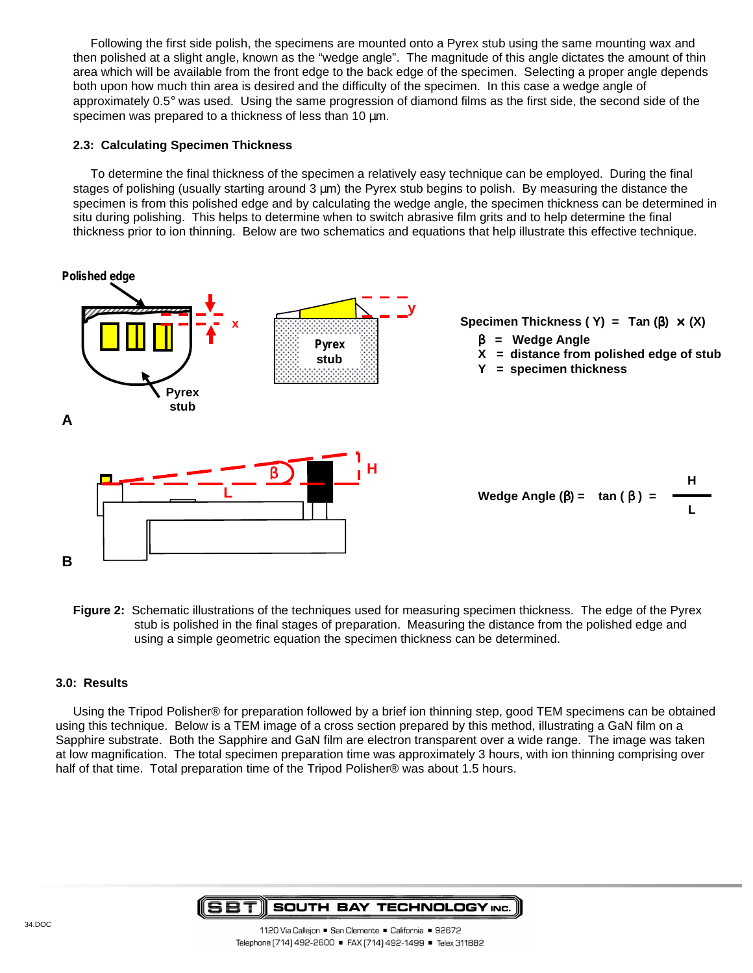Following the first side polish, the specimens are mounted onto a Pyrex stub using the same mounting wax and then polished at a slight angle, known as the "wedge angle". The magnitude of this angle dictates the amount of thin area which will be available from the front edge to the back edge of the specimen. Selecting a proper angle depends both upon how much thin area is desired and the difficulty of the specimen. In this case a wedge angle of approximately 0.5° was used. Using the same progression of diamond films as the first side, the second side of the specimen was prepared to a thickness of less than 10  $\mu$ m.

## **2.3: Calculating Specimen Thickness**

To determine the final thickness of the specimen a relatively easy technique can be employed. During the final stages of polishing (usually starting around 3  $\mu$ m) the Pyrex stub begins to polish. By measuring the distance the specimen is from this polished edge and by calculating the wedge angle, the specimen thickness can be determined in situ during polishing. This helps to determine when to switch abrasive film grits and to help determine the final thickness prior to ion thinning. Below are two schematics and equations that help illustrate this effective technique.



**Figure 2:** Schematic illustrations of the techniques used for measuring specimen thickness. The edge of the Pyrex stub is polished in the final stages of preparation. Measuring the distance from the polished edge and using a simple geometric equation the specimen thickness can be determined.

# **3.0: Results**

Using the Tripod Polisher® for preparation followed by a brief ion thinning step, good TEM specimens can be obtained using this technique. Below is a TEM image of a cross section prepared by this method, illustrating a GaN film on a Sapphire substrate. Both the Sapphire and GaN film are electron transparent over a wide range. The image was taken at low magnification. The total specimen preparation time was approximately 3 hours, with ion thinning comprising over half of that time. Total preparation time of the Tripod Polisher® was about 1.5 hours.